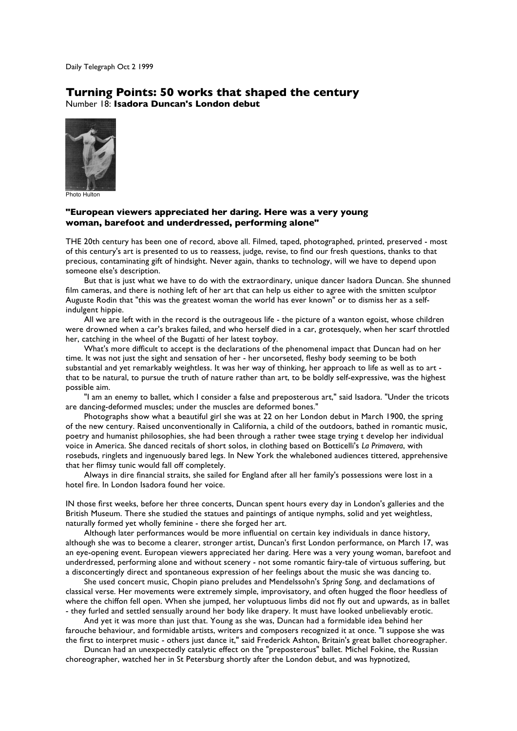Daily Telegraph Oct 2 1999

## **Turning Points: 50 works that shaped the century** Number 18: **Isadora Duncan's London debut**



Photo Hulton

## **"European viewers appreciated her daring. Here was a very young woman, barefoot and underdressed, performing alone"**

THE 20th century has been one of record, above all. Filmed, taped, photographed, printed, preserved - most of this century's art is presented to us to reassess, judge, revise, to find our fresh questions, thanks to that precious, contaminating gift of hindsight. Never again, thanks to technology, will we have to depend upon someone else's description.

But that is just what we have to do with the extraordinary, unique dancer Isadora Duncan. She shunned film cameras, and there is nothing left of her art that can help us either to agree with the smitten sculptor Auguste Rodin that "this was the greatest woman the world has ever known" or to dismiss her as a selfindulgent hippie.

All we are left with in the record is the outrageous life - the picture of a wanton egoist, whose children were drowned when a car's brakes failed, and who herself died in a car, grotesquely, when her scarf throttled her, catching in the wheel of the Bugatti of her latest toyboy.

What's more difficult to accept is the declarations of the phenomenal impact that Duncan had on her time. It was not just the sight and sensation of her - her uncorseted, fleshy body seeming to be both substantial and yet remarkably weightless. It was her way of thinking, her approach to life as well as to art that to be natural, to pursue the truth of nature rather than art, to be boldly self-expressive, was the highest possible aim.

"I am an enemy to ballet, which I consider a false and preposterous art," said Isadora. "Under the tricots are dancing-deformed muscles; under the muscles are deformed bones."

Photographs show what a beautiful girl she was at 22 on her London debut in March 1900, the spring of the new century. Raised unconventionally in California, a child of the outdoors, bathed in romantic music, poetry and humanist philosophies, she had been through a rather twee stage trying t develop her individual voice in America. She danced recitals of short solos, in clothing based on Botticelli's *La Primavera*, with rosebuds, ringlets and ingenuously bared legs. In New York the whaleboned audiences tittered, apprehensive that her flimsy tunic would fall off completely.

Always in dire financial straits, she sailed for England after all her family's possessions were lost in a hotel fire. In London Isadora found her voice.

IN those first weeks, before her three concerts, Duncan spent hours every day in London's galleries and the British Museum. There she studied the statues and paintings of antique nymphs, solid and yet weightless, naturally formed yet wholly feminine - there she forged her art.

Although later performances would be more influential on certain key individuals in dance history, although she was to become a clearer, stronger artist, Duncan's first London performance, on March 17, was an eye-opening event. European viewers appreciated her daring. Here was a very young woman, barefoot and underdressed, performing alone and without scenery - not some romantic fairy-tale of virtuous suffering, but a disconcertingly direct and spontaneous expression of her feelings about the music she was dancing to.

She used concert music, Chopin piano preludes and Mendelssohn's *Spring Song*, and declamations of classical verse. Her movements were extremely simple, improvisatory, and often hugged the floor heedless of where the chiffon fell open. When she jumped, her voluptuous limbs did not fly out and upwards, as in ballet - they furled and settled sensually around her body like drapery. It must have looked unbelievably erotic.

And yet it was more than just that. Young as she was, Duncan had a formidable idea behind her farouche behaviour, and formidable artists, writers and composers recognized it at once. "I suppose she was the first to interpret music - others just dance it," said Frederick Ashton, Britain's great ballet choreographer.

Duncan had an unexpectedly catalytic effect on the "preposterous" ballet. Michel Fokine, the Russian choreographer, watched her in St Petersburg shortly after the London debut, and was hypnotized,